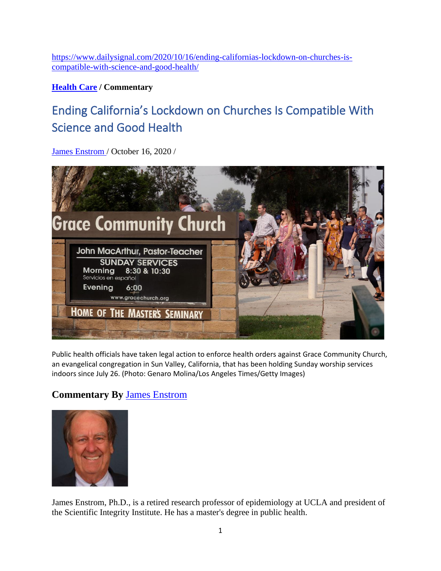[https://www.dailysignal.com/2020/10/16/ending-californias-lockdown-on-churches-is](https://www.dailysignal.com/2020/10/16/ending-californias-lockdown-on-churches-is-compatible-with-science-and-good-health/)[compatible-with-science-and-good-health/](https://www.dailysignal.com/2020/10/16/ending-californias-lockdown-on-churches-is-compatible-with-science-and-good-health/)

**[Health Care](https://www.dailysignal.com/category/topics-health-care) / Commentary**

## Ending California's Lockdown on Churches Is Compatible With Science and Good Health

[James Enstrom /](https://www.dailysignal.com/author/jenstrom/) October 16, 2020 /



Public health officials have taken legal action to enforce health orders against Grace Community Church, an evangelical congregation in Sun Valley, California, that has been holding Sunday worship services indoors since July 26. (Photo: Genaro Molina/Los Angeles Times/Getty Images)

## **Commentary By** [James Enstrom](https://www.dailysignal.com/author/jenstrom/)



James Enstrom, Ph.D., is a retired research professor of epidemiology at UCLA and president of the Scientific Integrity Institute. He has a master's degree in public health.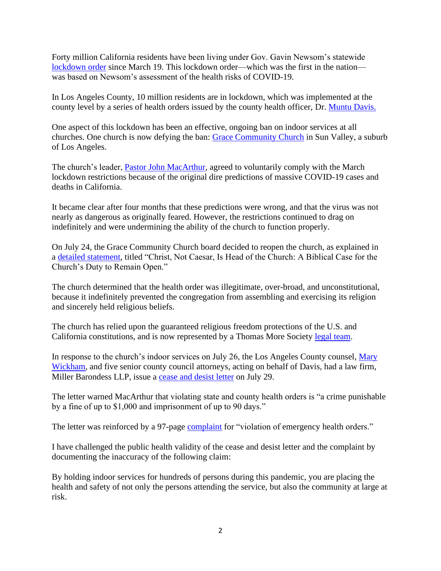Forty million California residents have been living under Gov. Gavin Newsom's statewide [lockdown order](https://covid19.ca.gov/img/Executive-Order-N-33-20.pdf) since March 19. This lockdown order—which was the first in the nation was based on Newsom's assessment of the health risks of COVID-19.

In Los Angeles County, 10 million residents are in lockdown, which was implemented at the county level by a series of health orders issued by the county health officer, Dr. [Muntu](https://dicp.hms.harvard.edu/ces/scholars_bios/davis) Davis.

One aspect of this lockdown has been an effective, ongoing ban on indoor services at all churches. One church is now defying the ban: [Grace Community Church](https://www.gracechurch.org/) in Sun Valley, a suburb of Los Angeles.

The church's leader, [Pastor John MacArthur,](https://www.gracechurch.org/leader/macarthur/john) agreed to voluntarily comply with the March lockdown restrictions because of the original dire predictions of massive COVID-19 cases and deaths in California.

It became clear after four months that these predictions were wrong, and that the virus was not nearly as dangerous as originally feared. However, the restrictions continued to drag on indefinitely and were undermining the ability of the church to function properly.

On July 24, the Grace Community Church board decided to reopen the church, as explained in a [detailed statement,](https://www.gracechurch.org/news/posts/1988) titled "Christ, Not Caesar, Is Head of the Church: A Biblical Case for the Church's Duty to Remain Open."

The church determined that the health order was illegitimate, over-broad, and unconstitutional, because it indefinitely prevented the congregation from assembling and exercising its religion and sincerely held religious beliefs.

The church has relied upon the guaranteed religious freedom protections of the U.S. and California constitutions, and is now represented by a Thomas More Society [legal team.](https://www.thomasmoresociety.org/pastor-john-macarthur-and-grace-community-church-represented-by-all-star-legal-team/)

In response to the church's indoor services on July 26, the Los Angeles County counsel, Mary [Wickham,](https://counsel.lacounty.gov/About-Us) and five senior county council attorneys, acting on behalf of Davis, had a law firm, Miller Barondess LLP, issue a [cease and desist](https://www.thomasmoresociety.org/wp-content/uploads/2020/08/Ex.-5-1_Cease-and-Desist-Letter.pdf) letter on July 29.

The letter warned MacArthur that violating state and county health orders is "a crime punishable by a fine of up to \$1,000 and imprisonment of up to 90 days."

The letter was reinforced by a 97-page [complaint](https://file.lacounty.gov/SDSInter/lac/1076769_COMPLAINT-ComplaintforViolationofEmergencyHealthOrdersandAbatementofPublicNuisance.pdf) for "violation of emergency health orders."

I have challenged the public health validity of the cease and desist letter and the complaint by documenting the inaccuracy of the following claim:

By holding indoor services for hundreds of persons during this pandemic, you are placing the health and safety of not only the persons attending the service, but also the community at large at risk.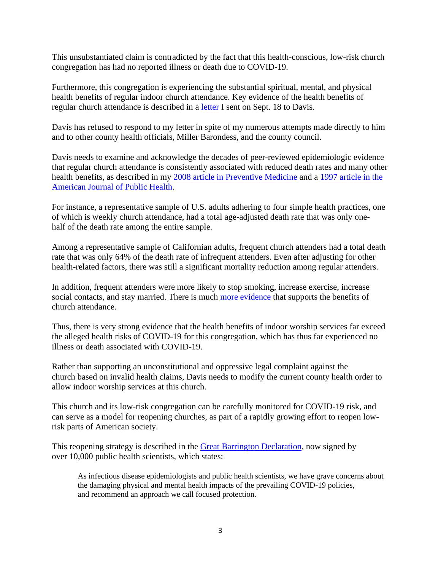This unsubstantiated claim is contradicted by the fact that this health-conscious, low-risk church congregation has had no reported illness or death due to COVID-19.

Furthermore, this congregation is experiencing the substantial spiritual, mental, and physical health benefits of regular indoor church attendance. Key evidence of the health benefits of regular church attendance is described in a [letter](http://scientificintegrityinstitute.org/jeedavis091820.pdf) I sent on Sept. 18 to Davis.

Davis has refused to respond to my letter in spite of my numerous attempts made directly to him and to other county health officials, Miller Barondess, and the county council.

Davis needs to examine and acknowledge the decades of peer-reviewed epidemiologic evidence that regular church attendance is consistently associated with reduced death rates and many other health benefits, as described in my [2008 article in Preventive Medicine](http://scientificintegrityinstitute.org/PM2008.pdf) and a [1997 article in the](https://pubmed.ncbi.nlm.nih.gov/9224176/)  [American Journal of Public Health.](https://pubmed.ncbi.nlm.nih.gov/9224176/)

For instance, a representative sample of U.S. adults adhering to four simple health practices, one of which is weekly church attendance, had a total age-adjusted death rate that was only onehalf of the death rate among the entire sample.

Among a representative sample of Californian adults, frequent church attenders had a total death rate that was only 64% of the death rate of infrequent attenders. Even after adjusting for other health-related factors, there was still a significant mortality reduction among regular attenders.

In addition, frequent attenders were more likely to stop smoking, increase exercise, increase social contacts, and stay married. There is much [more evidence](https://aleteia.org/2018/07/29/5-surprising-health-benefits-of-church-attendance/) that supports the benefits of church attendance.

Thus, there is very strong evidence that the health benefits of indoor worship services far exceed the alleged health risks of COVID-19 for this congregation, which has thus far experienced no illness or death associated with COVID-19.

Rather than supporting an unconstitutional and oppressive legal complaint against the church based on invalid health claims, Davis needs to modify the current county health order to allow indoor worship services at this church.

This church and its low-risk congregation can be carefully monitored for COVID-19 risk, and can serve as a model for reopening churches, as part of a rapidly growing effort to reopen lowrisk parts of American society.

This reopening strategy is described in the Great Barrington [Declaration,](https://gbdeclaration.org/) now signed by over 10,000 public health scientists, which states:

As infectious disease epidemiologists and public health scientists, we have grave concerns about the damaging physical and mental health impacts of the prevailing COVID-19 policies, and recommend an approach we call focused protection.